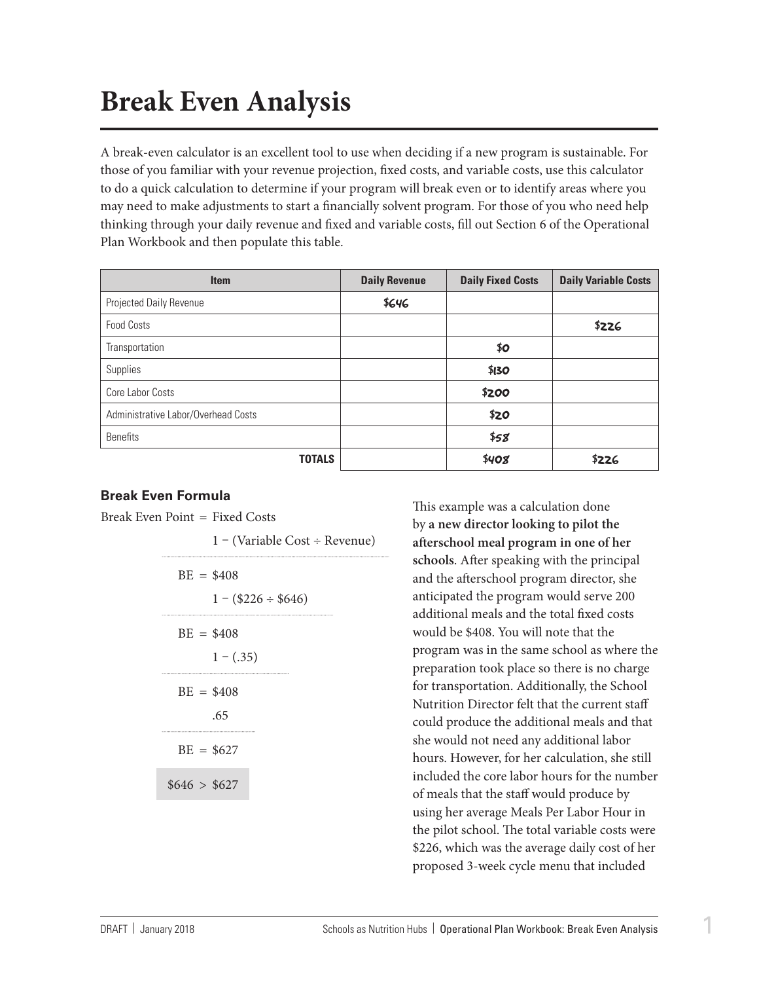## **Break Even Analysis**

A break-even calculator is an excellent tool to use when deciding if a new program is sustainable. For those of you familiar with your revenue projection, fixed costs, and variable costs, use this calculator to do a quick calculation to determine if your program will break even or to identify areas where you may need to make adjustments to start a financially solvent program. For those of you who need help thinking through your daily revenue and fixed and variable costs, fill out Section 6 of the Operational Plan Workbook and then populate this table.

| <b>Item</b>                         | <b>Daily Revenue</b> | <b>Daily Fixed Costs</b> | <b>Daily Variable Costs</b> |
|-------------------------------------|----------------------|--------------------------|-----------------------------|
| Projected Daily Revenue             | \$646                |                          |                             |
| <b>Food Costs</b>                   |                      |                          | \$226                       |
| Transportation                      |                      | \$0                      |                             |
| Supplies                            |                      | \$130                    |                             |
| Core Labor Costs                    |                      | \$200                    |                             |
| Administrative Labor/Overhead Costs |                      | \$20                     |                             |
| <b>Benefits</b>                     |                      | \$58                     |                             |
| <b>TOTALS</b>                       |                      | \$408                    | \$226                       |

## **Break Even Formula**

Break Even Point = Fixed Costs

1 – (Variable Cost ÷ Revenue)  $BE = $408$  $1 - (2226 \div 8646)$  $BE = $408$  $1 - (.35)$  $BE = $408$ .65  $BE = $627$  $$646 > $627$ 

This example was a calculation done by **a new director looking to pilot the afterschool meal program in one of her schools**. After speaking with the principal and the afterschool program director, she anticipated the program would serve 200 additional meals and the total fixed costs would be \$408. You will note that the program was in the same school as where the preparation took place so there is no charge for transportation. Additionally, the School Nutrition Director felt that the current staff could produce the additional meals and that she would not need any additional labor hours. However, for her calculation, she still included the core labor hours for the number of meals that the staff would produce by using her average Meals Per Labor Hour in the pilot school. The total variable costs were \$226, which was the average daily cost of her proposed 3-week cycle menu that included